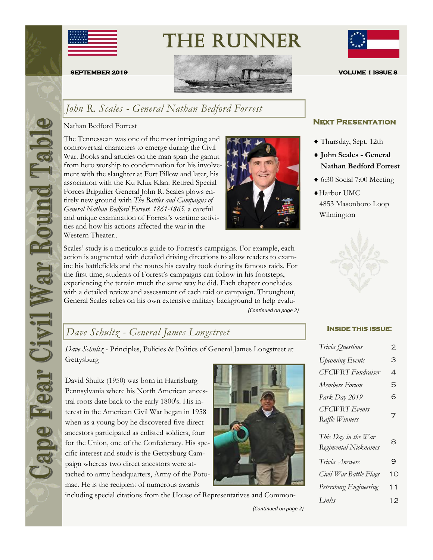

The Runner





# *John R. Scales - General Nathan Bedford Forrest*

#### Nathan Bedford Forrest

The Tennessean was one of the most intriguing and controversial characters to emerge during the Civil War. Books and articles on the man span the gamut from hero worship to condemnation for his involvement with the slaughter at Fort Pillow and later, his association with the Ku Klux Klan. Retired Special Forces Brigadier General John R. Scales plows entirely new ground with *The Battles and Campaigns of General Nathan Bedford Forrest, 1861-1865,* a careful and unique examination of Forrest's wartime activities and how his actions affected the war in the Western Theater..

Scales' study is a meticulous guide to Forrest's campaigns. For example, each action is augmented with detailed driving directions to allow readers to examine his battlefields and the routes his cavalry took during its famous raids. For the first time, students of Forrest's campaigns can follow in his footsteps, experiencing the terrain much the same way he did. Each chapter concludes with a detailed review and assessment of each raid or campaign. Throughout, General Scales relies on his own extensive military background to help evalu- *(Continued on page 2)*

# *Dave Schultz - General James Longstreet* **Inside this issue:**

*Dave Schultz* - Principles, Policies & Politics of General James Longstreet at Gettysburg

David Shultz (1950) was born in Harrisburg Pennsylvania where his North American ancestral roots date back to the early 1800's. His interest in the American Civil War began in 1958 when as a young boy he discovered five direct ancestors participated as enlisted soldiers, four for the Union, one of the Confederacy. His specific interest and study is the Gettysburg Campaign whereas two direct ancestors were attached to army headquarters, Army of the Potomac. He is the recipient of numerous awards



*(Continued on page 2)*

including special citations from the House of Representatives and Common-

# **Next Presentation**

- Thursday, Sept. 12th
- **John Scales - General Nathan Bedford Forrest**
- 6:30 Social 7:00 Meeting
- Harbor UMC 4853 Masonboro Loop Wilmington



| Trivia Questions                            | 2  |
|---------------------------------------------|----|
| <b>Upcoming Events</b>                      | З  |
| <b>CFCWRT</b> Fundraiser                    | 4  |
| Members Forum                               | 5  |
| Park Day 2019                               | 6  |
| <b>CFCWRT</b> Events<br>Raffle Winners      | 7  |
| This Day in the War<br>Regimental Nicknames | 8  |
| Trivia Answers                              | 9  |
| Civil War Battle Flags                      | 10 |
| Petersburg Engineering                      | 11 |
| Links                                       | 12 |
|                                             |    |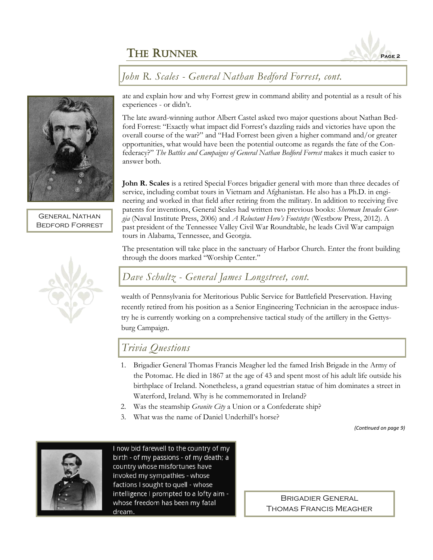

*John R. Scales - General Nathan Bedford Forrest, cont.*



General Nathan Bedford Forrest



ate and explain how and why Forrest grew in command ability and potential as a result of his experiences - or didn't.

The late award-winning author Albert Castel asked two major questions about Nathan Bedford Forrest: "Exactly what impact did Forrest's dazzling raids and victories have upon the overall course of the war?" and "Had Forrest been given a higher command and/or greater opportunities, what would have been the potential outcome as regards the fate of the Confederacy?" *The Battles and Campaigns of General Nathan Bedford Forrest* makes it much easier to answer both.

**John R. Scales** is a retired Special Forces brigadier general with more than three decades of service, including combat tours in Vietnam and Afghanistan. He also has a Ph.D. in engineering and worked in that field after retiring from the military. In addition to receiving five patents for inventions, General Scales had written two previous books: *Sherman Invades Georgia* (Naval Institute Press, 2006) and *A Reluctant Hero's Footsteps* (Westbow Press, 2012). A past president of the Tennessee Valley Civil War Roundtable, he leads Civil War campaign tours in Alabama, Tennessee, and Georgia.

The presentation will take place in the sanctuary of Harbor Church. Enter the front building through the doors marked "Worship Center."

# *Dave Schultz - General James Longstreet, cont.*

wealth of Pennsylvania for Meritorious Public Service for Battlefield Preservation. Having recently retired from his position as a Senior Engineering Technician in the aerospace industry he is currently working on a comprehensive tactical study of the artillery in the Gettysburg Campaign.

# *Trivia Questions*

- 1. Brigadier General Thomas Francis Meagher led the famed Irish Brigade in the Army of the Potomac. He died in 1867 at the age of 43 and spent most of his adult life outside his birthplace of Ireland. Nonetheless, a grand equestrian statue of him dominates a street in Waterford, Ireland. Why is he commemorated in Ireland?
- 2. Was the steamship *Granite City* a Union or a Confederate ship?
- 3. What was the name of Daniel Underhill's horse?

*(Continued on page 9)*



I now bid farewell to the country of my birth - of my passions - of my death; a country whose misfortunes have invoked my sympathies - whose factions I sought to quell - whose intelligence I prompted to a lofty aim whose freedom has been my fatal dream.

Brigadier General Thomas Francis Meagher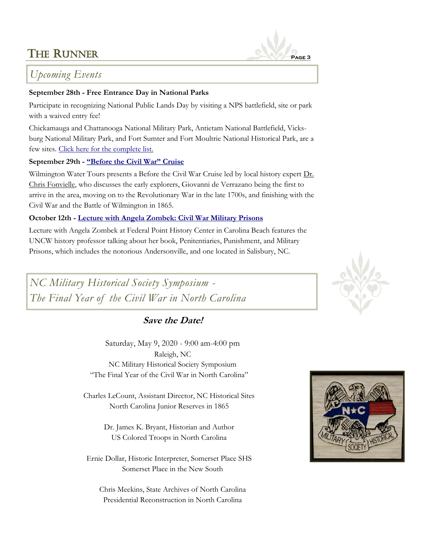

# *Upcoming Events*

#### **September 28th - Free Entrance Day in National Parks**

Participate in recognizing National Public Lands Day by visiting a NPS battlefield, site or park with a waived entry fee!

Chickamauga and Chattanooga National Military Park, Antietam National Battlefield, Vicksburg National Military Park, and Fort Sumter and Fort Moultrie National Historical Park, are a few sites. [Click here for the complete list.](https://www.nps.gov/planyourvisit/fee-free-parks-state.htm)

#### **September 29th - ["Before the Civil War" Cruise](https://wilmingtonwatertours.net/cruises/civil-war-cruise/)**

Wilmington Water Tours presents a Before the Civil War Cruise led by local history expert Dr. Chris Fonvielle, who discusses the early explorers, Giovanni de Verrazano being the first to arrive in the area, moving on to the Revolutionary War in the late 1700s, and finishing with the Civil War and the Battle of Wilmington in 1865.

#### **October 12th - [Lecture with Angela Zombek: Civil War Military Prisons](http://www.whatsonwilmington.com/event.php?id=36573)**

Lecture with Angela Zombek at Federal Point History Center in Carolina Beach features the UNCW history professor talking about her book, Penitentiaries, Punishment, and Military Prisons, which includes the notorious Andersonville, and one located in Salisbury, NC.

*NC Military Historical Society Symposium - The Final Year of the Civil War in North Carolina*

#### **Save the Date!**

Saturday, May 9, 2020 - 9:00 am-4:00 pm Raleigh, NC NC Military Historical Society Symposium "The Final Year of the Civil War in North Carolina"

Charles LeCount, Assistant Director, NC Historical Sites North Carolina Junior Reserves in 1865

> Dr. James K. Bryant, Historian and Author US Colored Troops in North Carolina

Ernie Dollar, Historic Interpreter, Somerset Place SHS Somerset Place in the New South

Chris Meekins, State Archives of North Carolina Presidential Reconstruction in North Carolina



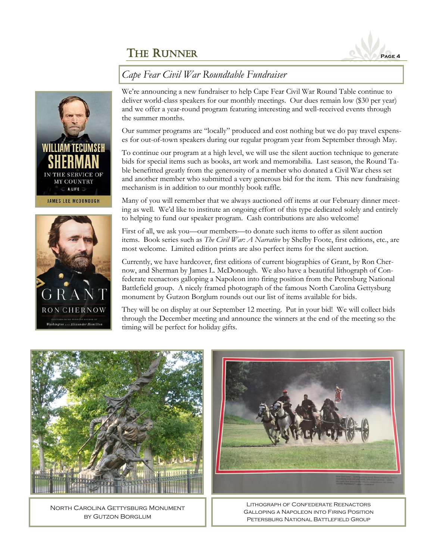

#### *Cape Fear Civil War Roundtable Fundraiser*





We're announcing a new fundraiser to help Cape Fear Civil War Round Table continue to deliver world-class speakers for our monthly meetings. Our dues remain low (\$30 per year) and we offer a year-round program featuring interesting and well-received events through the summer months.

Our summer programs are "locally" produced and cost nothing but we do pay travel expenses for out-of-town speakers during our regular program year from September through May.

To continue our program at a high level, we will use the silent auction technique to generate bids for special items such as books, art work and memorabilia. Last season, the Round Table benefitted greatly from the generosity of a member who donated a Civil War chess set and another member who submitted a very generous bid for the item. This new fundraising mechanism is in addition to our monthly book raffle.

Many of you will remember that we always auctioned off items at our February dinner meeting as well. We'd like to institute an ongoing effort of this type dedicated solely and entirely to helping to fund our speaker program. Cash contributions are also welcome!

First of all, we ask you—our members—to donate such items to offer as silent auction items. Book series such as *The Civil War: A Narrative* by Shelby Foote, first editions, etc., are most welcome. Limited edition prints are also perfect items for the silent auction.

Currently, we have hardcover, first editions of current biographies of Grant, by Ron Chernow, and Sherman by James L. McDonough. We also have a beautiful lithograph of Confederate reenactors galloping a Napoleon into firing position from the Petersburg National Battlefield group. A nicely framed photograph of the famous North Carolina Gettysburg monument by Gutzon Borglum rounds out our list of items available for bids.

They will be on display at our September 12 meeting. Put in your bid! We will collect bids through the December meeting and announce the winners at the end of the meeting so the timing will be perfect for holiday gifts.



North Carolina Gettysburg Monument by Gutzon Borglum



Lithograph of Confederate Reenactors Galloping a Napoleon into Firing Position Petersburg National Battlefield Group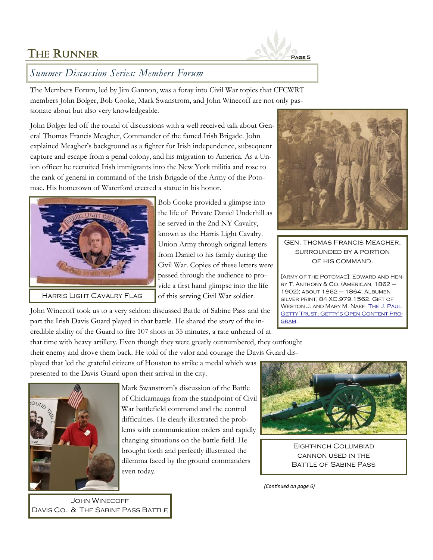

### *Summer Discussion Series: Members Forum*

The Members Forum, led by Jim Gannon, was a foray into Civil War topics that CFCWRT members John Bolger, Bob Cooke, Mark Swanstrom, and John Winecoff are not only passionate about but also very knowledgeable.

John Bolger led off the round of discussions with a well received talk about General Thomas Francis Meagher, Commander of the famed Irish Brigade. John explained Meagher's background as a fighter for Irish independence, subsequent capture and escape from a penal colony, and his migration to America. As a Union officer he recruited Irish immigrants into the New York militia and rose to the rank of general in command of the Irish Brigade of the Army of the Potomac. His hometown of Waterford erected a statue in his honor.



Bob Cooke provided a glimpse into the life of Private Daniel Underhill as he served in the 2nd NY Cavalry, known as the Harris Light Cavalry. Union Army through original letters from Daniel to his family during the Civil War. Copies of these letters were passed through the audience to provide a first hand glimpse into the life of this serving Civil War soldier.

John Winecoff took us to a very seldom discussed Battle of Sabine Pass and the part the Irish Davis Guard played in that battle. He shared the story of the incredible ability of the Guard to fire 107 shots in 35 minutes, a rate unheard of at

that time with heavy artillery. Even though they were greatly outnumbered, they outfought their enemy and drove them back. He told of the valor and courage the Davis Guard dis-

played that led the grateful citizens of Houston to strike a medal which was presented to the Davis Guard upon their arrival in the city.



Mark Swanstrom's discussion of the Battle of Chickamauga from the standpoint of Civil War battlefield command and the control difficulties. He clearly illustrated the problems with communication orders and rapidly changing situations on the battle field. He brought forth and perfectly illustrated the dilemma faced by the ground commanders even today.



Eight-inch Columbiad cannon used in the Battle of Sabine Pass

*(Continued on page 6)*

John Winecoff Davis Co. & The Sabine Pass Battle



Gen. Thomas Francis Meagher, surrounded by a portion of his command.

[Army of the Potomac]; Edward and Henry T. Anthony & Co. (American, 1862 – 1902); about 1862 – 1864; Albumen silver print; 84.XC.979.1562. Gift of Weston J. and Mary M. Naef. [The J. Paul](http://search.getty.edu/gateway/landing)  [Getty Trust, Getty's Open Content Pro-](http://search.getty.edu/gateway/landing)**GRAM**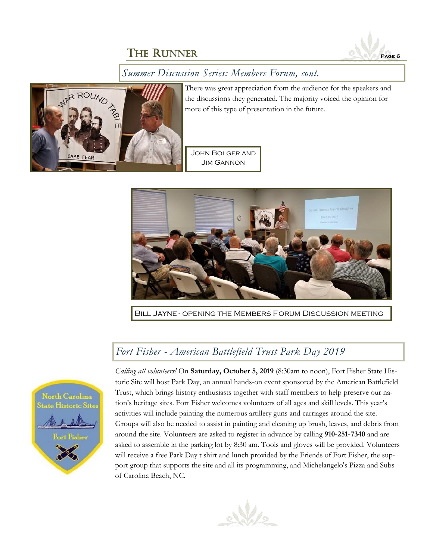



There was great appreciation from the audience for the speakers and the discussions they generated. The majority voiced the opinion for more of this type of presentation in the future.

John Bolger and Jim Gannon



Bill Jayne - opening the Members Forum Discussion meeting

# *Fort Fisher - American Battlefield Trust Park Day 2019*



*Calling all volunteers!* On **Saturday, October 5, 2019** (8:30am to noon), Fort Fisher State Historic Site will host Park Day, an annual hands-on event sponsored by the American Battlefield Trust, which brings history enthusiasts together with staff members to help preserve our nation's heritage sites. Fort Fisher welcomes volunteers of all ages and skill levels. This year's activities will include painting the numerous artillery guns and carriages around the site. Groups will also be needed to assist in painting and cleaning up brush, leaves, and debris from around the site. Volunteers are asked to register in advance by calling **910-251-7340** and are asked to assemble in the parking lot by 8:30 am. Tools and gloves will be provided. Volunteers will receive a free Park Day t shirt and lunch provided by the Friends of Fort Fisher, the support group that supports the site and all its programming, and Michelangelo's Pizza and Subs of Carolina Beach, NC.

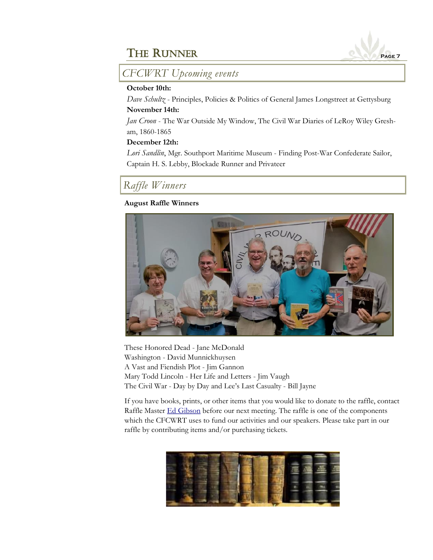

*CFCWRT Upcoming events*

#### **October 10th:**

*Dave Schultz* - Principles, Policies & Politics of General James Longstreet at Gettysburg **November 14th:** 

*Jan Croon* - The War Outside My Window, The Civil War Diaries of LeRoy Wiley Gresham, 1860-1865

#### **December 12th:**

*Lori Sandlin*, Mgr. Southport Maritime Museum - Finding Post-War Confederate Sailor, Captain H. S. Lebby, Blockade Runner and Privateer

#### *Raffle Winners*

#### **August Raffle Winners**



These Honored Dead - Jane McDonald Washington - David Munnickhuysen A Vast and Fiendish Plot - Jim Gannon Mary Todd Lincoln - Her Life and Letters - Jim Vaugh The Civil War - Day by Day and Lee's Last Casualty - Bill Jayne

If you have books, prints, or other items that you would like to donate to the raffle, contact Raffle Master [Ed Gibson](mailto:egibson759@aol.com) before our next meeting. The raffle is one of the components which the CFCWRT uses to fund our activities and our speakers. Please take part in our raffle by contributing items and/or purchasing tickets.

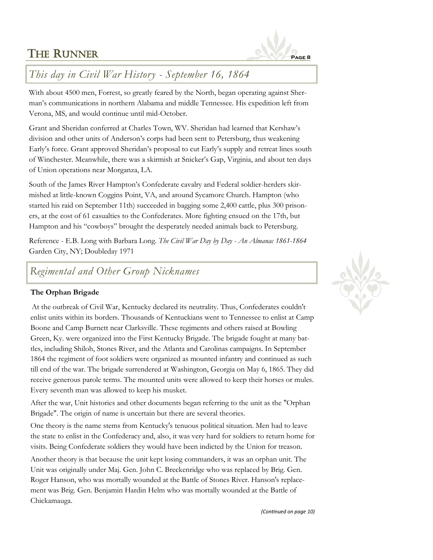

# *This day in Civil War History - September 16, 1864*

With about 4500 men, Forrest, so greatly feared by the North, began operating against Sherman's communications in northern Alabama and middle Tennessee. His expedition left from Verona, MS, and would continue until mid-October.

Grant and Sheridan conferred at Charles Town, WV. Sheridan had learned that Kershaw's division and other units of Anderson's corps had been sent to Petersburg, thus weakening Early's force. Grant approved Sheridan's proposal to cut Early's supply and retreat lines south of Winchester. Meanwhile, there was a skirmish at Snicker's Gap, Virginia, and about ten days of Union operations near Morganza, LA.

South of the James River Hampton's Confederate cavalry and Federal soldier-herders skirmished at little-known Coggins Point, VA, and around Sycamore Church. Hampton (who started his raid on September 11th) succeeded in bagging some 2,400 cattle, plus 300 prisoners, at the cost of 61 casualties to the Confederates. More fighting ensued on the 17th, but Hampton and his "cowboys" brought the desperately needed animals back to Petersburg.

Reference - E.B. Long with Barbara Long. *The Civil War Day by Day - An Almanac 1861-1864* Garden City, NY; Doubleday 1971

*Regimental and Other Group Nicknames*

#### **The Orphan Brigade**

At the outbreak of Civil War, Kentucky declared its neutrality. Thus, Confederates couldn't enlist units within its borders. Thousands of Kentuckians went to Tennessee to enlist at Camp Boone and Camp Burnett near Clarksville. These regiments and others raised at Bowling Green, Ky. were organized into the First Kentucky Brigade. The brigade fought at many battles, including Shiloh, Stones River, and the Atlanta and Carolinas campaigns. In September 1864 the regiment of foot soldiers were organized as mounted infantry and continued as such till end of the war. The brigade surrendered at Washington, Georgia on May 6, 1865. They did receive generous parole terms. The mounted units were allowed to keep their horses or mules. Every seventh man was allowed to keep his musket.

After the war, Unit histories and other documents began referring to the unit as the "Orphan Brigade". The origin of name is uncertain but there are several theories.

One theory is the name stems from Kentucky's tenuous political situation. Men had to leave the state to enlist in the Confederacy and, also, it was very hard for soldiers to return home for visits. Being Confederate soldiers they would have been indicted by the Union for treason.

Another theory is that because the unit kept losing commanders, it was an orphan unit. The Unit was originally under Maj. Gen. John C. Breckenridge who was replaced by Brig. Gen. Roger Hanson, who was mortally wounded at the Battle of Stones River. Hanson's replacement was Brig. Gen. Benjamin Hardin Helm who was mortally wounded at the Battle of Chickamauga.

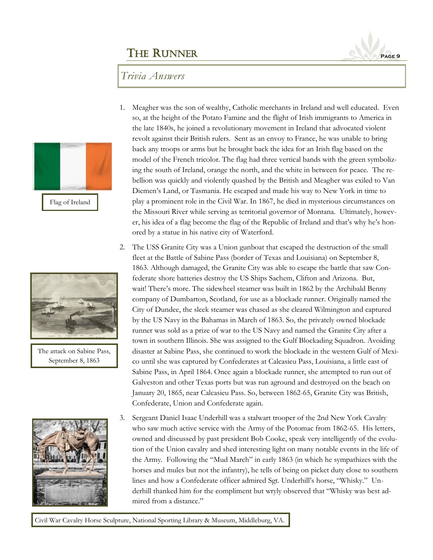*Trivia Answers*





The attack on Sabine Pass, September 8, 1863



- 1. Meagher was the son of wealthy, Catholic merchants in Ireland and well educated. Even so, at the height of the Potato Famine and the flight of Irish immigrants to America in the late 1840s, he joined a revolutionary movement in Ireland that advocated violent revolt against their British rulers. Sent as an envoy to France, he was unable to bring back any troops or arms but he brought back the idea for an Irish flag based on the model of the French tricolor. The flag had three vertical bands with the green symbolizing the south of Ireland, orange the north, and the white in between for peace. The rebellion was quickly and violently quashed by the British and Meagher was exiled to Van Diemen's Land, or Tasmania. He escaped and made his way to New York in time to play a prominent role in the Civil War. In 1867, he died in mysterious circumstances on the Missouri River while serving as territorial governor of Montana. Ultimately, however, his idea of a flag become the flag of the Republic of Ireland and that's why he's honored by a statue in his native city of Waterford.
- 2. The USS Granite City was a Union gunboat that escaped the destruction of the small fleet at the Battle of Sabine Pass (border of Texas and Louisiana) on September 8, 1863. Although damaged, the Granite City was able to escape the battle that saw Confederate shore batteries destroy the US Ships Sachem, Clifton and Arizona. But, wait! There's more. The sidewheel steamer was built in 1862 by the Archibald Benny company of Dumbarton, Scotland, for use as a blockade runner. Originally named the City of Dundee, the sleek steamer was chased as she cleared Wilmington and captured by the US Navy in the Bahamas in March of 1863. So, the privately owned blockade runner was sold as a prize of war to the US Navy and named the Granite City after a town in southern Illinois. She was assigned to the Gulf Blockading Squadron. Avoiding disaster at Sabine Pass, she continued to work the blockade in the western Gulf of Mexico until she was captured by Confederates at Calcasieu Pass, Louisiana, a little east of Sabine Pass, in April 1864. Once again a blockade runner, she attempted to run out of Galveston and other Texas ports but was run aground and destroyed on the beach on January 20, 1865, near Calcasieu Pass. So, between 1862-65, Granite City was British, Confederate, Union and Confederate again.
- 3. Sergeant Daniel Isaac Underhill was a stalwart trooper of the 2nd New York Cavalry who saw much active service with the Army of the Potomac from 1862-65. His letters, owned and discussed by past president Bob Cooke, speak very intelligently of the evolution of the Union cavalry and shed interesting light on many notable events in the life of the Army. Following the "Mud March" in early 1863 (in which he sympathizes with the horses and mules but not the infantry), he tells of being on picket duty close to southern lines and how a Confederate officer admired Sgt. Underhill's horse, "Whisky." Underhill thanked him for the compliment but wryly observed that "Whisky was best admired from a distance."

Civil War Cavalry Horse Sculpture, National Sporting Library & Museum, Middleburg, VA.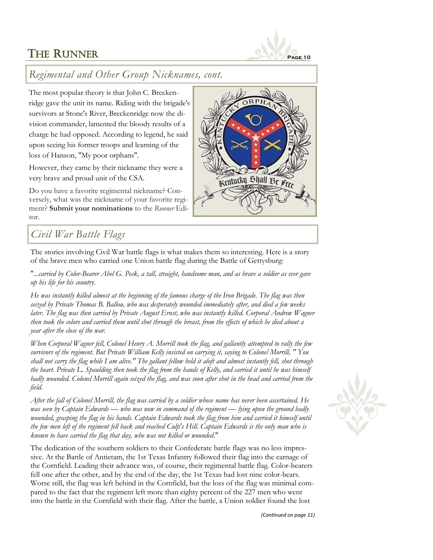# **THE RUNNER**



## *Regimental and Other Group Nicknames, cont.*

The most popular theory is that John C. Breckenridge gave the unit its name. Riding with the brigade's survivors at Stone's River, Breckenridge now the division commander, lamented the bloody results of a charge he had opposed. According to legend, he said upon seeing his former troops and learning of the loss of Hanson, "My poor orphans".

However, they came by their nickname they were a very brave and proud unit of the CSA.

Do you have a favorite regimental nickname? Conversely, what was the nickname of your favorite regiment? **Submit your nominations** to the *Runner* Editor.

# *Civil War Battle Flags*

The stories involving Civil War battle flags is what makes them so interesting. Here is a story of the brave men who carried one Union battle flag during the Battle of Gettysburg:

"...*carried by Color-Bearer Abel G. Peck, a tall, straight, handsome man, and as brave a soldier as ever gave up his life for his country.*

*He was instantly killed almost at the beginning of the famous charge of the Iron Brigade. The flag was then seized by Private Thomas B. Ballou, who was desperately wounded immediately after, and died a few weeks later. The flag was then carried by Private August Ernst, who was instantly killed. Corporal Andrew Wagner then took the colors and carried them until shot through the breast, from the effects of which he died about a year after the close of the war.*

*When Corporal Wagner fell, Colonel Henry A. Morrill took the flag, and gallantly attempted to rally the few survivors of the regiment. But Private William Kelly insisted on carrying it, saying to Colonel Morrill, " You shall not carry the flag while I am alive." The gallant fellow held it aloft and almost instantly fell, shot through*  the heart. Private L. Spaulding then took the flag from the hands of Kelly, and carried it until he was himself *badly wounded. Colonel Morrill again seized the flag, and was soon after shot in the head and carried from the field.*

*After the fall of Colonel Morrill, the flag was carried by a soldier whose name has never been ascertained. He was seen by Captain Edwards — who was now in command of the regiment — lying upon the ground badly*  wounded, grasping the flag in his hands. Captain Edwards took the flag from him and carried it himself until *the few men left of the regiment fell back and reached Culp's Hill. Captain Edwards is the only man who is known to have carried the flag that day, who was not killed or wounded*."

The dedication of the southern soldiers to their Confederate battle flags was no less impressive. At the Battle of Antietam, the 1st Texas Infantry followed their flag into the carnage of the Cornfield. Leading their advance was, of course, their regimental battle flag. Color-bearers fell one after the other, and by the end of the day, the 1st Texas had lost nine color-bears. Worse still, the flag was left behind in the Cornfield, but the loss of the flag was minimal compared to the fact that the regiment left more than eighty percent of the 227 men who went into the battle in the Cornfield with their flag. After the battle, a Union soldier found the lost



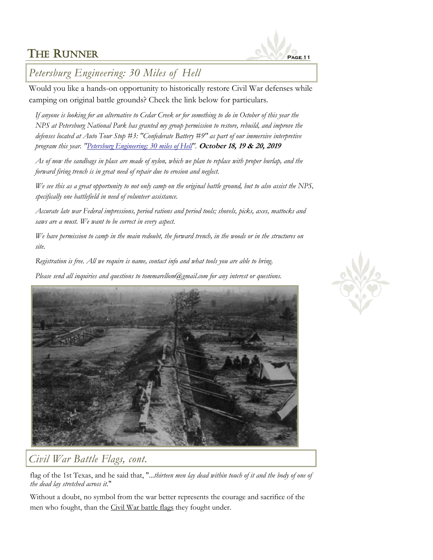

## *Petersburg Engineering: 30 Miles of Hell*

Would you like a hands-on opportunity to historically restore Civil War defenses while camping on original battle grounds? Check the link below for particulars.

*If anyone is looking for an alternative to Cedar Creek or for something to do in October of this year the NPS at Petersburg National Park has granted my group permission to restore, rebuild, and improve the defenses located at Auto Tour Stop #3: "Confederate Battery #9" as part of our immersive interpretive program this year. "[Petersburg Engineering: 30 miles of Hell"](https://www.facebook.com/events/936104033418266/?active_tab=discussion).* **October 18, 19 & 20, 2019**

*As of now the sandbags in place are made of nylon, which we plan to replace with proper burlap, and the forward firing trench is in great need of repair due to erosion and neglect.* 

*We see this as a great opportunity to not only camp on the original battle ground, but to also assist the NPS, specifically one battlefield in need of volunteer assistance.*

*Accurate late war Federal impressions, period rations and period tools; shovels, picks, axes, mattocks and saws are a must. We want to be correct in every aspect.*

*We have permission to camp in the main redoubt, the forward trench, in the woods or in the structures on site.*

*Registration is free. All we require is name, contact info and what tools you are able to bring.*

*Please send all inquiries and questions to tommarellom@gmail.com for any interest or questions.* 



# *Civil War Battle Flags, cont.*

flag of the 1st Texas, and he said that, "...*thirteen men lay dead within touch of it and the body of one of the dead lay stretched across it*."

Without a doubt, no symbol from the war better represents the courage and sacrifice of the men who fought, than the Civil War [battle](http://i.viglink.com/?key=3cd60aec1b9640a6b4c288132920e344&insertId=46edbeec68257644&type=H&mid=44248&exp=60%3ACI1C55A%3A4&libId=jzwvcg170100rrrt000DA4y3s2u7y&loc=http%3A%2F%2Fwww.americancivilwarstory.com%2Fcivil-war-battle-flags.html&v=1&iid=46edbeec6825764) flags they fought under.